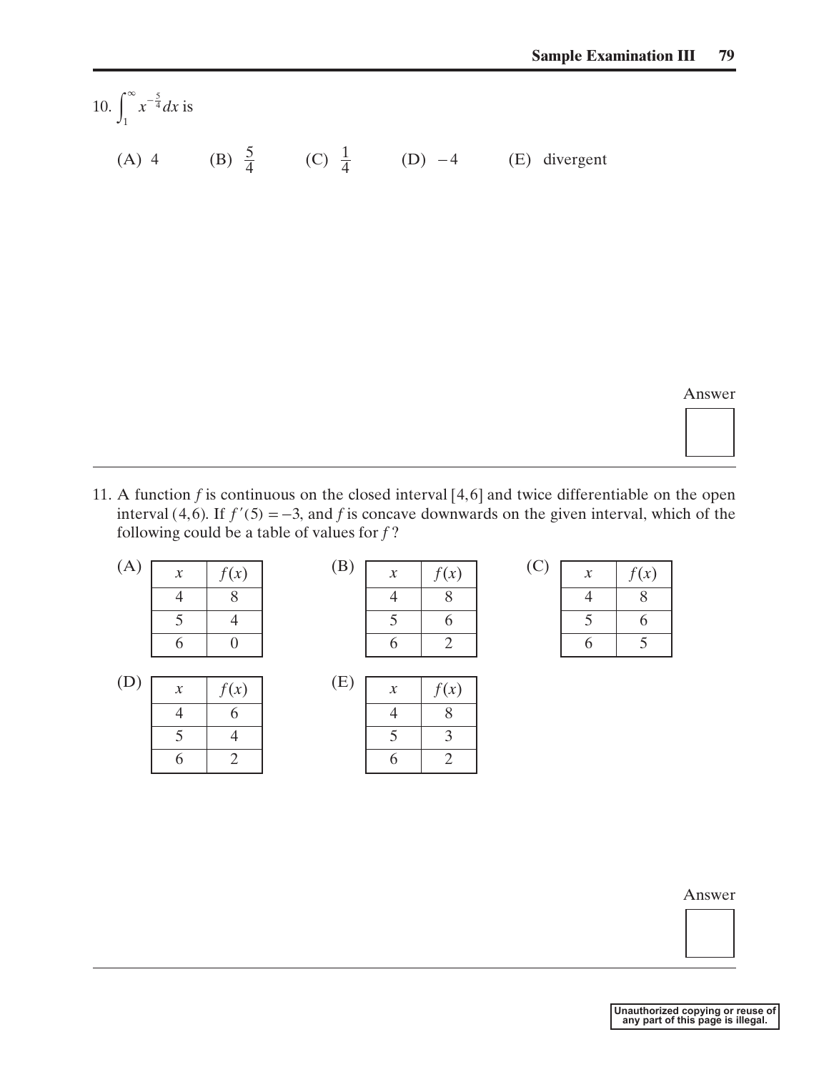10.  $\int_{0}^{\infty} x^{-\frac{5}{4}} dx$  is (A) 4 (B)  $\frac{5}{4}$  (C)  $\frac{1}{4}$  (D) -4 (E) divergent  $\int_{1}^{\infty} x^{-\frac{5}{4}} dx$  $\int_{1}^{\infty} x^{-\frac{5}{4}}$ 4 5

Answer

11. A function  $f$  is continuous on the closed interval  $[4, 6]$  and twice differentiable on the open interval (4,6). If  $f'(5) = -3$ , and f is concave downwards on the given interval, which of the following could be a table of values for *f* ? on *f* is continuous<br>(4,6). If  $f'(5) = -3$ <br>g could be a table of

| (A) | $\boldsymbol{\chi}$ | f(x)              |
|-----|---------------------|-------------------|
|     | 4                   | 8                 |
|     | 5                   | 4                 |
|     | 6                   | $\mathbf{\Omega}$ |

| (D) | $\mathcal{X}$ | f(x) | (E) |
|-----|---------------|------|-----|
|     |               |      |     |
|     |               |      |     |
|     |               |      |     |

| (A) | $\boldsymbol{\chi}$ | f(x) | (B) | $\boldsymbol{\mathcal{X}}$ | f(x) |  |
|-----|---------------------|------|-----|----------------------------|------|--|
|     |                     |      |     |                            |      |  |
|     |                     |      |     |                            |      |  |
|     |                     |      |     |                            |      |  |

| E) | $\boldsymbol{x}$ | f(x) |
|----|------------------|------|
|    | 4                | 8    |
|    | 5                | 3    |
|    | 6                | 2    |

| í | $\boldsymbol{x}$ | f(x) |
|---|------------------|------|
|   | 4                | 8    |
|   | 5                | 6    |
|   | 6                | 5    |

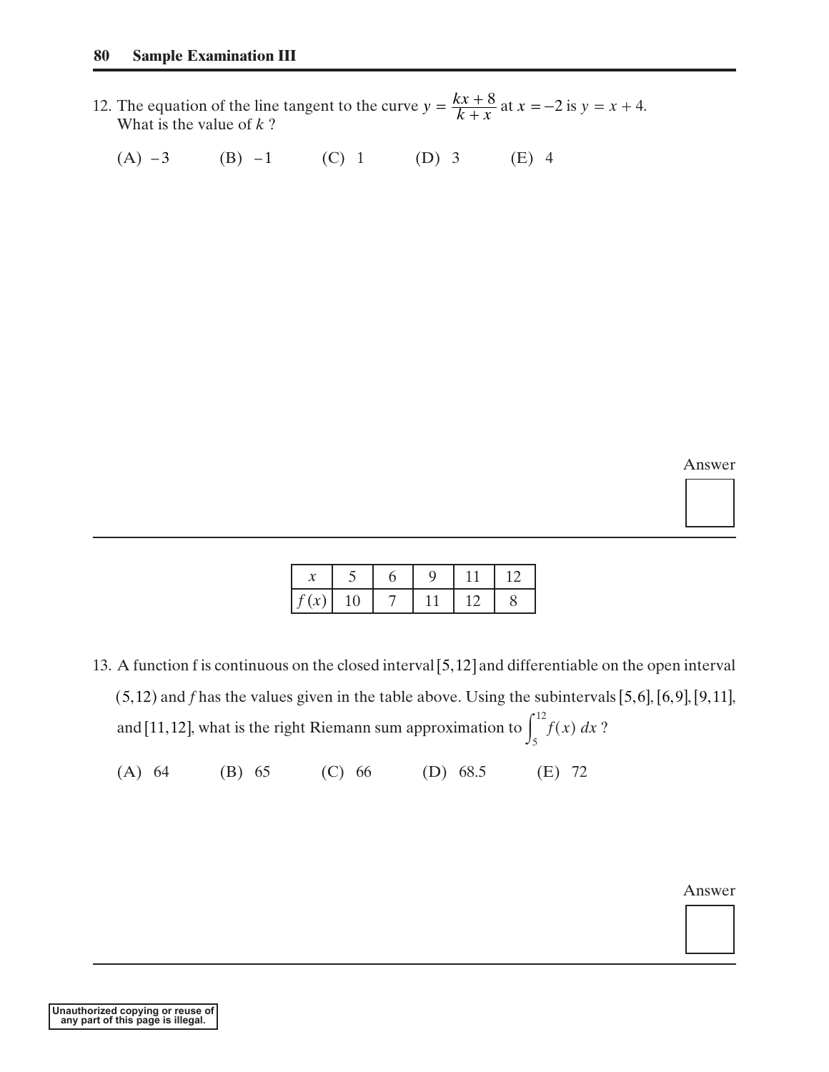- 12. The equation of the line tangent to the curve  $y = \frac{kx + 6}{k}$  at  $x = -2$  is  $y = x + 4$ . What is the value of *k* ?  $y = \frac{kx + 8}{k + x}$  $=\frac{kx+8}{k+x}$  at  $x = -2$  is  $y = x + 4$ 
	- $(A)$   $-3$  (B)  $-1$  (C) 1 (D) 3 (E) 4

Answer

| f(x) | 10 |  |  |
|------|----|--|--|

- 13. A function f is continuous on the closed interval  $[5, 12]$  and differentiable on the open interval and *f* has the values given in the table above. Using the subintervals  $[5,6]$ ,  $[6,9]$ ,  $[9,11]$ , and [11,12], what is the right Riemann sum approximation to  $\int f(x) dx$ ?  $(5, 12)$  and f has the values given in the table above. Using the subintervals [5,6], [6, 9], [9, 11] 2) and *f* has the values given in the table above. Using the subinterv<br>[11,12], what is the right Riemann sum approximation to  $\int_5^{12} f(x) dx$ -3 (B) -1 (C) 1 (D) 3 (E) 4<br>  $\frac{x}{f(x)} = \frac{5}{10} = \frac{6}{7} = \frac{9}{11} = \frac{11}{12} = \frac{12}{8}$ <br>
and the solution of is continuous on the closed interval [5,12] and differential<br>
and that the values given in the table above. Using th
	- (A) 64 (B) 65 (C) 66 (D) 68.5 (E) 72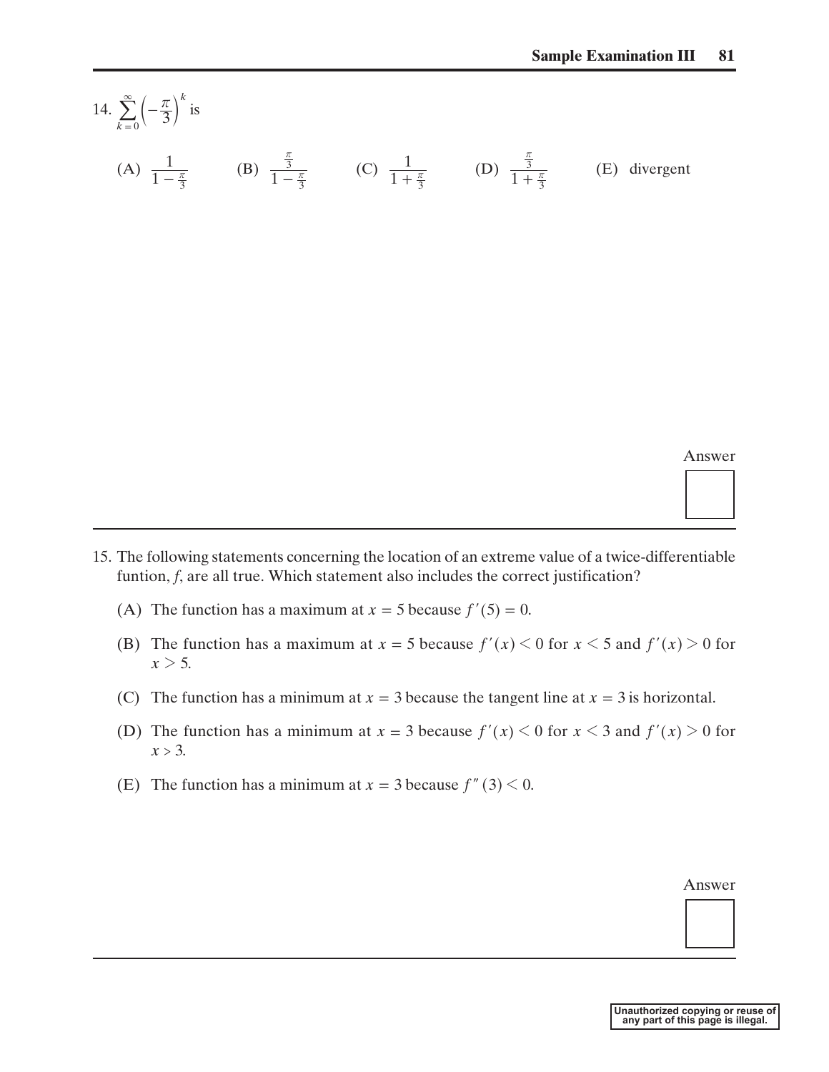14.  $\sum_{k=0}^{\infty} \left(-\frac{\pi}{3}\right)$  is (A)  $\frac{1}{1-\frac{\pi}{3}}$  (B)  $\frac{3}{1-\frac{\pi}{3}}$  (C)  $\frac{1}{1+\frac{\pi}{3}}$  (D)  $\frac{3}{1+\frac{\pi}{3}}$  (E) divergent *k*  $k = 0$  $\sum_{n=1}^{\infty}$   $\left(-\frac{\pi}{3}\right)$  $\sum_{k=0}^{\infty} \left( -\frac{\pi}{3} \right)$  $\frac{3}{+ \frac{\pi}{3}}$ *r* 1 1  $\frac{3}{1 - \frac{\pi}{3}}$  (C)  $\frac{1}{1 + \frac{\pi}{3}}$ *r* 1 1  $-\frac{\pi}{3}$ 

Answer

- 15. The following statements concerning the location of an extreme value of a twice-differentiable funtion, *f*, are all true. Which statement also includes the correct justification?
	- (A) The function has a maximum at  $x = 5$  because  $f'(5) = 0$ . *x* = 5 because  $f'(5) = 0$
	- (B) The function has a maximum at  $x = 5$  because  $f'(x) < 0$  for  $x < 5$  and  $f'(x) > 0$  for  $x > 5$ . *x* = 5 because  $f'(x) < 0$  for  $x < 5$  and  $f'(x) > 0$
	- (C) The function has a minimum at  $x = 3$  because the tangent line at  $x = 3$  is horizontal.
	- (D) The function has a minimum at  $x = 3$  because  $f'(x) < 0$  for  $x < 3$  and  $f'(x) > 0$  for  $x > 3$ .  $x = 3$  because the tangent line at  $x = 3$  is horizontal<br> $x = 3$  because  $f'(x) < 0$  for  $x < 3$  and  $f'(x) > 0$
	- (E) The function has a minimum at  $x = 3$  because  $f''(3) < 0$ . *x* = 3 because  $f''(3) < 0$